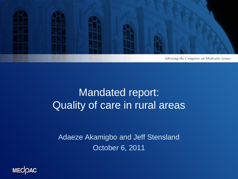

### Mandated report: Quality of care in rural areas

Adaeze Akamigbo and Jeff Stensland October 6, 2011

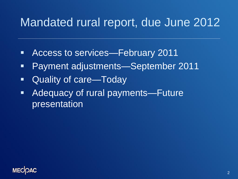# Mandated rural report, due June 2012

- Access to services—February 2011
- Payment adjustments—September 2011
- Quality of care—Today
- Adequacy of rural payments—Future presentation

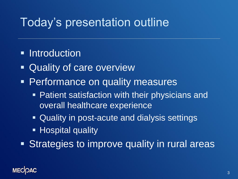## Today's presentation outline

- **Introduction**
- Quality of care overview
- **Performance on quality measures** 
	- **Patient satisfaction with their physicians and** overall healthcare experience
	- **Quality in post-acute and dialysis settings**
	- **Hospital quality**
- **Strategies to improve quality in rural areas**

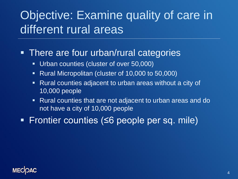# Objective: Examine quality of care in different rural areas

#### **There are four urban/rural categories**

- **Urban counties (cluster of over 50,000)**
- **Rural Micropolitan (cluster of 10,000 to 50,000)**
- **Rural counties adjacent to urban areas without a city of** 10,000 people
- Rural counties that are not adjacent to urban areas and do not have a city of 10,000 people
- Frontier counties (≤6 people per sq. mile)

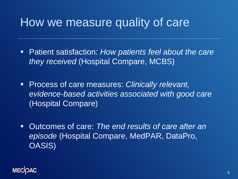### How we measure quality of care

- Patient satisfaction: *How patients feel about the care they received* (Hospital Compare, MCBS)
- Process of care measures: *Clinically relevant, evidence-based activities associated with good care*  (Hospital Compare)
- Outcomes of care: *The end results of care after an episode* (Hospital Compare, MedPAR, DataPro, OASIS)

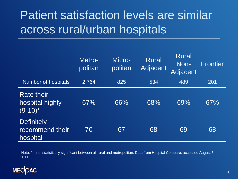# Patient satisfaction levels are similar across rural/urban hospitals

|                                                            | Metro-<br>politan | Micro-<br>politan | <b>Rural</b><br>Adjacent | <b>Rural</b><br>Non-<br>Adjacent | <b>Frontier</b> |
|------------------------------------------------------------|-------------------|-------------------|--------------------------|----------------------------------|-----------------|
| <b>Number of hospitals</b>                                 | 2,764             | 825               | 534                      | 489                              | 201             |
| <b>Rate their</b><br>hospital highly<br>$(9-10)^*$         | 67%               | 66%               | 68%                      | 69%                              | 67%             |
| <b>Definitely</b><br>recommend their<br>hospit <u>al</u> l | 70                | 67                | 68                       | 69                               | 68              |

Note: \* = not statistically significant between all rural and metropolitan. Data from Hospital Compare, accessed August 5, 2011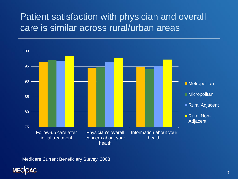#### Patient satisfaction with physician and overall care is similar across rural/urban areas



Medicare Current Beneficiary Survey, 2008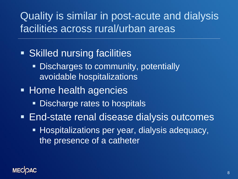### Quality is similar in post-acute and dialysis facilities across rural/urban areas

### **Skilled nursing facilities**

- **Discharges to community, potentially** avoidable hospitalizations
- Home health agencies
	- **Discharge rates to hospitals**
- **End-state renal disease dialysis outcomes** 
	- **Hospitalizations per year, dialysis adequacy,** the presence of a catheter

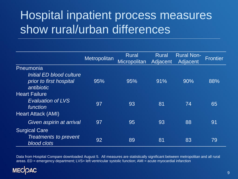# Hospital inpatient process measures show rural/urban differences

|                                                                                    | Metropolitan | <b>Rural</b><br>Micropolitan | Rural<br>Adjacent | <b>Rural Non-</b><br>Adjacent | <b>Frontier</b> |
|------------------------------------------------------------------------------------|--------------|------------------------------|-------------------|-------------------------------|-----------------|
| Pneumonia<br>Initial ED blood culture<br>prior to first hospital<br>antibiotic     | 95%          | 95%                          | 91%               | 90%                           | 88%             |
| <b>Heart Failure</b><br><b>Evaluation of LVS</b><br>function<br>Heart Attack (AMI) | 97           | 93                           | 81                | 74                            | 65              |
| Given aspirin at arrival                                                           | 97           | 95                           | 93                | 88                            | 91              |
| <b>Surgical Care</b><br>Treatments to prevent<br><b>blood clots</b>                | 92           | 89                           | 81                | 83                            | 79              |

Data from Hospital Compare downloaded August 5. All measures are statistically significant between metropolitan and all rural areas. ED = emergency department; LVS= left ventricular systolic function; AMI = acute myocardial infarction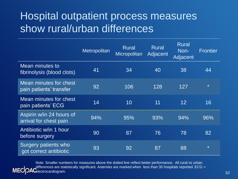### Hospital outpatient process measures show rural/urban differences

|                                                       | Metropolitan | <b>Rural</b><br>Micropolitan | <b>Rural</b><br>Adjacent | <b>Rural</b><br>Non-<br>Adjacent | <b>Frontier</b> |
|-------------------------------------------------------|--------------|------------------------------|--------------------------|----------------------------------|-----------------|
| Mean minutes to<br>fibrinolysis (blood clots)         | 41           | 34                           | 40                       | 38                               | 44              |
| Mean minutes for chest<br>pain patients' transfer     | 92           | 106                          | 128                      | 127                              | $\star$         |
| Mean minutes for chest<br>pain patients' ECG          | 14           | 10                           | 11                       | 12 <sup>°</sup>                  | 16              |
| Aspirin w/in 24 hours of<br>arrival for chest pain    | 94%          | 95%                          | 93%                      | 94%                              | 96%             |
| Antibiotic w/in 1 hour<br>before surgery              | 90           | 87                           | 76                       | 78                               | 82              |
| <b>Surgery patients who</b><br>got correct antibiotic | 93           | 92                           | 87                       | 88                               | $\star$         |

Note: Smaller numbers for measures above the dotted line reflect better performance. All rural vs urban differences are statistically significant. Asterisks are marked when less than 30 hospitals reported. ECG = **MEC** electrocardiogram.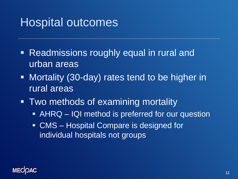## Hospital outcomes

- Readmissions roughly equal in rural and urban areas
- **Nortality (30-day) rates tend to be higher in** rural areas
- **Two methods of examining mortality** 
	- **AHRQ IQI method is preferred for our question**
	- CMS Hospital Compare is designed for individual hospitals not groups

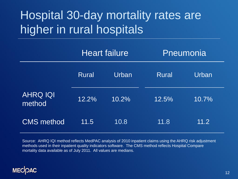# Hospital 30-day mortality rates are higher in rural hospitals

|                           | <b>Heart failure</b> |          | Pneumonia    |       |
|---------------------------|----------------------|----------|--------------|-------|
|                           | <b>Rural</b>         | Urban    | <b>Rural</b> | Urban |
| <b>AHRQ IQI</b><br>method | 12.2%                | $10.2\%$ | 12.5%        | 10.7% |
| <b>CMS</b> method         | 11.5                 | 10.8     | 11.8         | 11.2  |

Source: AHRQ IQI method reflects MedPAC analysis of 2010 inpatient claims using the AHRQ risk adjustment methods used in their inpatient quality indicators software. The CMS method reflects Hospital Compare mortality data available as of July 2011. All values are medians.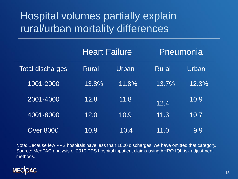### Hospital volumes partially explain rural/urban mortality differences

|                         | <b>Heart Failure</b> |       |              | Pneumonia |  |
|-------------------------|----------------------|-------|--------------|-----------|--|
| <b>Total discharges</b> | <b>Rural</b>         | Urban | <b>Rural</b> | Urban     |  |
| 1001-2000               | 13.8%                | 11.8% | 13.7%        | $12.3\%$  |  |
| 2001-4000               | 12.8                 | 11.8  | 12.4         | 10.9      |  |
| 4001-8000               | 12.0                 | 10.9  | 11.3         | 10.7      |  |
| <b>Over 8000</b>        | 10.9                 | 10.4  | 11.0         | 9.9       |  |

Note: Because few PPS hospitals have less than 1000 discharges, we have omitted that category. Source: MedPAC analysis of 2010 PPS hospital inpatient claims using AHRQ IQI risk adjustment methods.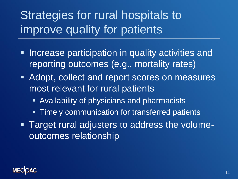Strategies for rural hospitals to improve quality for patients

- **Increase participation in quality activities and** reporting outcomes (e.g., mortality rates)
- **Adopt, collect and report scores on measures** most relevant for rural patients
	- Availability of physicians and pharmacists
	- **Timely communication for transferred patients**
- Target rural adjusters to address the volumeoutcomes relationship

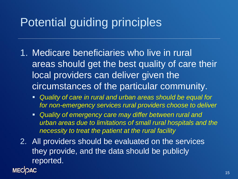# Potential guiding principles

- 1. Medicare beneficiaries who live in rural areas should get the best quality of care their local providers can deliver given the circumstances of the particular community.
	- *Quality of care in rural and urban areas should be equal for for non-emergency services rural providers choose to deliver*
	- *Quality of emergency care may differ between rural and urban areas due to limitations of small rural hospitals and the necessity to treat the patient at the rural facility*
- 2. All providers should be evaluated on the services they provide, and the data should be publicly reported.